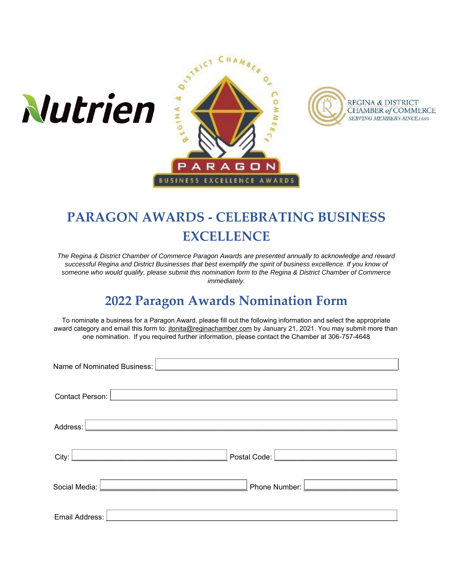





# **PARAGON AWARDS - CELEBRATING BUSINESS EXCELLENCE**

*The Regina & District Chamber of Commerce Paragon Awards are presented annually to acknowledge and reward successful Regina and District Businesses that best exemplify the spirit of business excellence. If you know of someone who would qualify, please submit this nomination form to the Regina & District Chamber of Commerce immediately.*

# **2022 Paragon Awards Nomination Form**

To nominate a business for a Paragon Award, please fill out the following information and select the appropriate award category and email this form to: [jtonita@reginachamber.com](mailto:jtonita@reginachamber.com) by January 21, 2021. You may submit more than one nomination. If you required further information, please contact the Chamber at 306-757-4648

| Name of Nominated Business:                                                                                                   |                                                                                                                            |  |
|-------------------------------------------------------------------------------------------------------------------------------|----------------------------------------------------------------------------------------------------------------------------|--|
|                                                                                                                               |                                                                                                                            |  |
| Contact Person:                                                                                                               |                                                                                                                            |  |
| Address:                                                                                                                      |                                                                                                                            |  |
| City:<br><u> 1980 - Jan Barnett, martin amerikan basal dan berkecama dalam pengaran basal dan berkecama dan berkecama dan</u> | Postal Code: <u>  www.alian.com   www.alian.com   www.alian.com   www.alian.com   www.alian.com   www.alian.com   www.</u> |  |
| Social Media:                                                                                                                 | <u> Alexandria (Alexandria)</u><br><u> 1989 - Johann Barn, mars an t-Amerikaansk ferskeinder (</u><br>Phone Number: L      |  |
| Email Address:                                                                                                                |                                                                                                                            |  |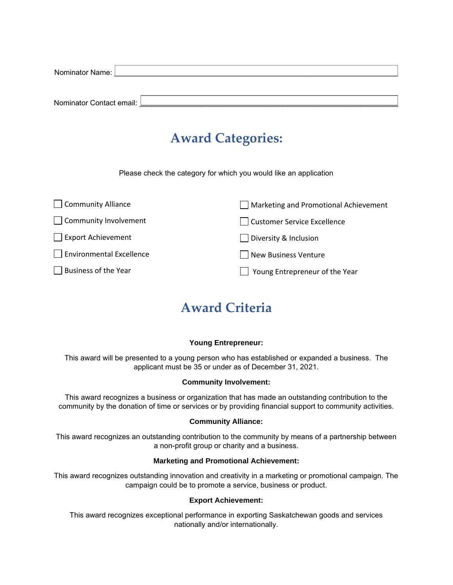| Nominator Name: [          |  |
|----------------------------|--|
|                            |  |
|                            |  |
| Nominator Contact email: [ |  |

### **Award Categories:**

Please check the category for which you would like an application

| Community Alliance              | Marketing and Promotional Achievement |
|---------------------------------|---------------------------------------|
| Community Involvement           | Customer Service Excellence           |
| $\Box$ Export Achievement       | Diversity & Inclusion                 |
| $\Box$ Environmental Excellence | New Business Venture                  |
| $\Box$ Business of the Year     | Young Entrepreneur of the Year        |

## **Award Criteria**

#### **Young Entrepreneur:**

This award will be presented to a young person who has established or expanded a business. The applicant must be 35 or under as of December 31, 2021.

#### **Community Involvement:**

This award recognizes a business or organization that has made an outstanding contribution to the community by the donation of time or services or by providing financial support to community activities.

#### **Community Alliance:**

This award recognizes an outstanding contribution to the community by means of a partnership between a non-profit group or charity and a business.

#### **Marketing and Promotional Achievement:**

This award recognizes outstanding innovation and creativity in a marketing or promotional campaign. The campaign could be to promote a service, business or product.

#### **Export Achievement:**

This award recognizes exceptional performance in exporting Saskatchewan goods and services nationally and/or internationally.